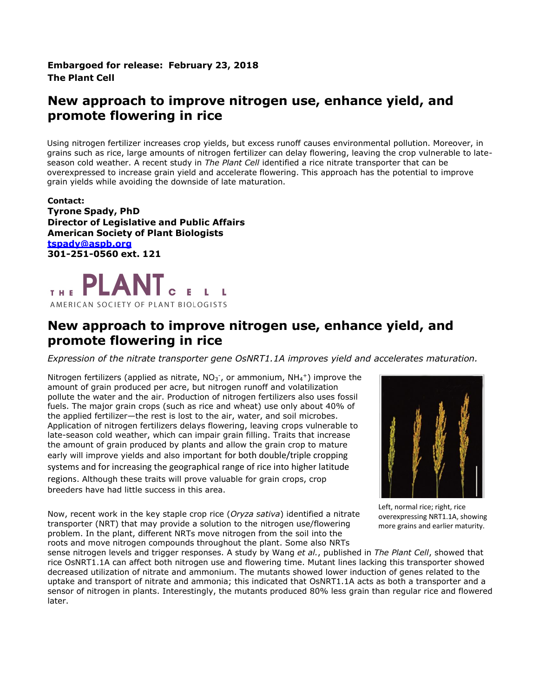**Embargoed for release: February 23, 2018 The Plant Cell**

## **New approach to improve nitrogen use, enhance yield, and promote flowering in rice**

Using nitrogen fertilizer increases crop yields, but excess runoff causes environmental pollution. Moreover, in grains such as rice, large amounts of nitrogen fertilizer can delay flowering, leaving the crop vulnerable to lateseason cold weather. A recent study in *The Plant Cell* identified a rice nitrate transporter that can be overexpressed to increase grain yield and accelerate flowering. This approach has the potential to improve grain yields while avoiding the downside of late maturation.

**Contact: Tyrone Spady, PhD Director of Legislative and Public Affairs American Society of Plant Biologists [tspady@aspb.org](mailto:tspady@aspb.org) 301-251-0560 ext. 121**



## **New approach to improve nitrogen use, enhance yield, and promote flowering in rice**

*Expression of the nitrate transporter gene OsNRT1.1A improves yield and accelerates maturation.*

Nitrogen fertilizers (applied as nitrate,  $NO<sub>3</sub>$ , or ammonium,  $NH<sub>4</sub>$ +) improve the amount of grain produced per acre, but nitrogen runoff and volatilization pollute the water and the air. Production of nitrogen fertilizers also uses fossil fuels. The major grain crops (such as rice and wheat) use only about 40% of the applied fertilizer—the rest is lost to the air, water, and soil microbes. Application of nitrogen fertilizers delays flowering, leaving crops vulnerable to late-season cold weather, which can impair grain filling. Traits that increase the amount of grain produced by plants and allow the grain crop to mature early will improve yields and also important for both double/triple cropping systems and for increasing the geographical range of rice into higher latitude regions. Although these traits will prove valuable for grain crops, crop breeders have had little success in this area.



Now, recent work in the key staple crop rice (*Oryza sativa*) identified a nitrate transporter (NRT) that may provide a solution to the nitrogen use/flowering problem. In the plant, different NRTs move nitrogen from the soil into the roots and move nitrogen compounds throughout the plant. Some also NRTs

Left, normal rice; right, rice overexpressing NRT1.1A, showing more grains and earlier maturity.

sense nitrogen levels and trigger responses. A study by Wang *et al.*, published in *The Plant Cell*, showed that rice OsNRT1.1A can affect both nitrogen use and flowering time. Mutant lines lacking this transporter showed decreased utilization of nitrate and ammonium. The mutants showed lower induction of genes related to the uptake and transport of nitrate and ammonia; this indicated that OsNRT1.1A acts as both a transporter and a sensor of nitrogen in plants. Interestingly, the mutants produced 80% less grain than regular rice and flowered later.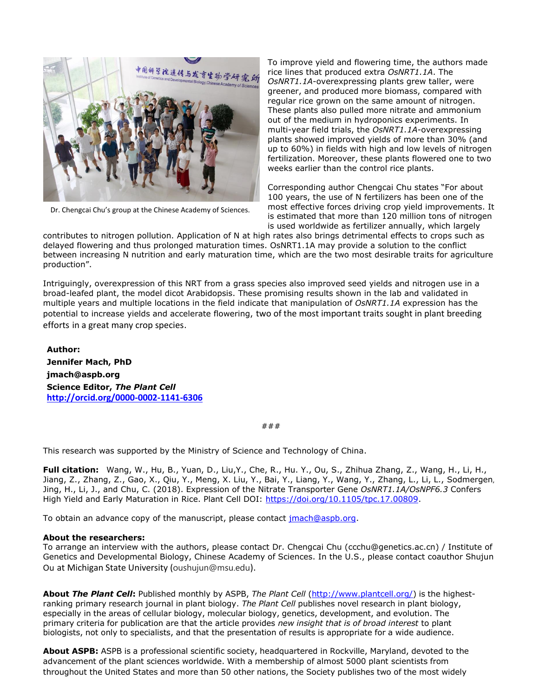

Dr. Chengcai Chu's group at the Chinese Academy of Sciences.

To improve yield and flowering time, the authors made rice lines that produced extra *OsNRT1.1A*. The *OsNRT1.1A*-overexpressing plants grew taller, were greener, and produced more biomass, compared with regular rice grown on the same amount of nitrogen. These plants also pulled more nitrate and ammonium out of the medium in hydroponics experiments. In multi-year field trials, the *OsNRT1.1A*-overexpressing plants showed improved yields of more than 30% (and up to 60%) in fields with high and low levels of nitrogen fertilization. Moreover, these plants flowered one to two weeks earlier than the control rice plants.

Corresponding author Chengcai Chu states "For about 100 years, the use of N fertilizers has been one of the most effective forces driving crop yield improvements. It is estimated that more than 120 million tons of nitrogen is used worldwide as fertilizer annually, which largely

contributes to nitrogen pollution. Application of N at high rates also brings detrimental effects to crops such as delayed flowering and thus prolonged maturation times. OsNRT1.1A may provide a solution to the conflict between increasing N nutrition and early maturation time, which are the two most desirable traits for agriculture production".

Intriguingly, overexpression of this NRT from a grass species also improved seed yields and nitrogen use in a broad-leafed plant, the model dicot Arabidopsis. These promising results shown in the lab and validated in multiple years and multiple locations in the field indicate that manipulation of *OsNRT1.1A* expression has the potential to increase yields and accelerate flowering, two of the most important traits sought in plant breeding efforts in a great many crop species.

**Author: Jennifer Mach, PhD jmach@aspb.org Science Editor,** *The Plant Cell*  **[http://orcid.org/0000-0002-1141-6306](https://webmail.aspb.org/owa/redir.aspx?C=so6AVzGfLEGhVKXgU_s8NIoBua7_2NAIIOSQNQUgA8j-9hL3mo2LEDyUGufr_ayZcgb9SaHfR6A.&URL=http%3a%2f%2forcid.org%2f0000-0002-1141-6306)**

###

This research was supported by the Ministry of Science and Technology of China.

**Full citation:** Wang, W., Hu, B., Yuan, D., Liu,Y., Che, R., Hu. Y., Ou, S., Zhihua Zhang, Z., Wang, H., Li, H., Jiang, Z., Zhang, Z., Gao, X., Qiu, Y., Meng, X. Liu, Y., Bai, Y., Liang, Y., Wang, Y., Zhang, L., Li, L., Sodmergen, Jing, H., Li, J., and Chu, C. (2018). Expression of the Nitrate Transporter Gene *OsNRT1.1A/OsNPF6.3* Confers High Yield and Early Maturation in Rice. Plant Cell DOI: [https://doi.org/10.1105/tpc.17.00809.](https://doi.org/10.1105/tpc.17.00809)

To obtain an advance copy of the manuscript, please contact *jmach@aspb.org*.

## **About the researchers:**

To arrange an interview with the authors, please contact Dr. Chengcai Chu (ccchu@genetics.ac.cn) / Institute of Genetics and Developmental Biology, Chinese Academy of Sciences. In the U.S., please contact coauthor Shujun Ou at Michigan State University (oushujun@msu.edu).

**About** *The Plant Cell***:** Published monthly by ASPB, *The Plant Cell* [\(http://www.plantcell.org/\)](http://www.plantcell.org/) is the highestranking primary research journal in plant biology. *The Plant Cell* publishes novel research in plant biology, especially in the areas of cellular biology, molecular biology, genetics, development, and evolution. The primary criteria for publication are that the article provides *new insight that is of broad interest* to plant biologists, not only to specialists, and that the presentation of results is appropriate for a wide audience.

**About ASPB:** ASPB is a professional scientific society, headquartered in Rockville, Maryland, devoted to the advancement of the plant sciences worldwide. With a membership of almost 5000 plant scientists from throughout the United States and more than 50 other nations, the Society publishes two of the most widely